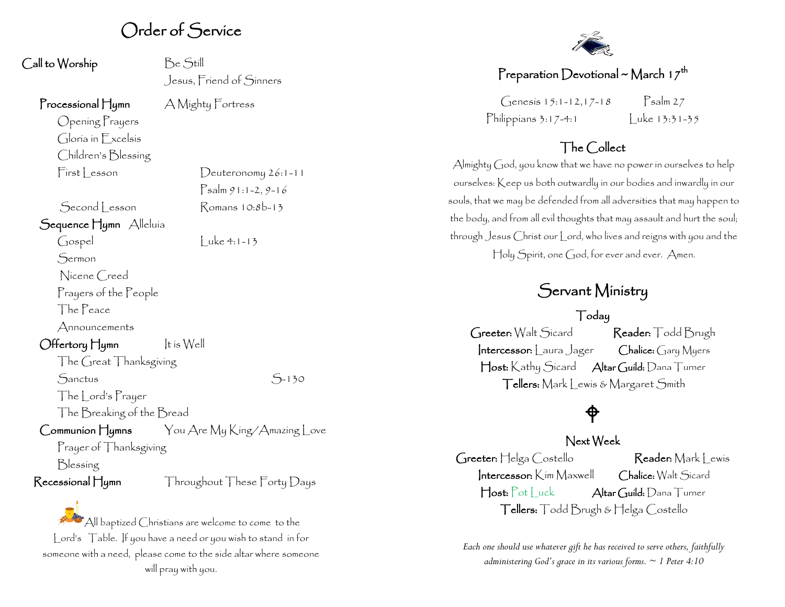## Order of Service

| Call to Worship                        | Be Still                                                                                                                                  |
|----------------------------------------|-------------------------------------------------------------------------------------------------------------------------------------------|
|                                        | Jesus, Friend of Sinners                                                                                                                  |
| $\Gamma$ rocessional $\Box$ ymn        | A Mighty Fortress                                                                                                                         |
| Opening Prayers                        |                                                                                                                                           |
| Gloria in Excelsis                     |                                                                                                                                           |
| Children's Blessing                    |                                                                                                                                           |
| First Lesson                           | $D$ euteronomy $26:1 - 11$                                                                                                                |
|                                        | $P$ salm 91:1-2, 9-16                                                                                                                     |
| Second Lesson                          | Romans 10:8b-13                                                                                                                           |
| Sequence Hymn Alleluía                 |                                                                                                                                           |
| Gospel                                 | $Luke 4:1-13$                                                                                                                             |
| Sermon                                 |                                                                                                                                           |
| Nicene Creed                           |                                                                                                                                           |
| Prayers of the People                  |                                                                                                                                           |
| The Peace                              |                                                                                                                                           |
| Announcements                          |                                                                                                                                           |
| Offertory Hymn                         | $ t$ is $W$ ell                                                                                                                           |
| The Great Thanksgiving                 |                                                                                                                                           |
| Sanctus                                | $5 - 130$                                                                                                                                 |
| The Lord's Prayer                      |                                                                                                                                           |
| The Breaking of the Bread              |                                                                                                                                           |
|                                        | $\mathsf{Communion}\, \mathsf{Hymns}$ $\qquad$ $\forall$ ou $\mathsf{Are}\, \mathsf{My}\, \mathsf{King}/\mathsf{Amazing}\, \mathsf{Love}$ |
| Prayer of Thanksgiving                 |                                                                                                                                           |
| Blessing                               |                                                                                                                                           |
| $\mathsf{Recessional}\,\mathsf{H}$ ymn | Throughout These Forty Days                                                                                                               |

All baptized Christians are welcome to come to the Lord's Table. If you have a need or you wish to stand in for someone with a need, please come to the side altar where someone will pray with you.



### Preparation Devotional ~ March 1 $\mathcal{I}^\mathsf{th}$

 $G$ enesis 15:1-12,17-18 Psalm 27 Philippians 3:17-4:1 Luke 13:31-35

### The Collect

Almighty God, you know that we have no power in ourselves to help ourselves: Keep us both outwardly in our bodies and inwardly in our souls, that we may be defended from all adversities that may happen to the body, and from all evil thoughts that may assault and hurt the soul; through Jesus Christ our Lord, who lives and reigns with you and the Holy Spirit, one God, for ever and ever. Amen.

## Servant Ministry

#### Today

Greeter: Walt Sicard Reader: Todd Brugh Intercessor: Laura Jager Chalice: Gary Myers Host: Kathy Sicard Altar Guild: Dana Turner Tellers: Mark Lewis & Margaret Smith

## ♦

#### Next Week

Greeter: Helga Costello Reader: Mark Lewis Intercessor: Kim Maxwell Chalice: Walt Sicard Host: Pot Luck Altar Guild: Dana Turner Tellers: Todd Brugh & Helga Costello

*Each one should use whatever gift he has received to serve others, faithfully administering God's grace in its various forms. ~ 1 Peter 4:10*